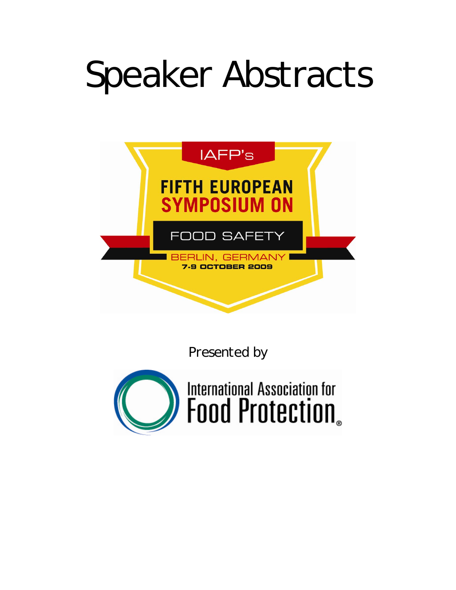# Speaker Abstracts



*Presented by* 

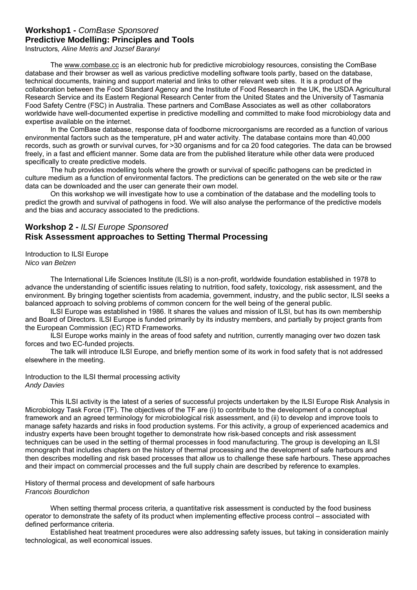## **Workshop1 -** *ComBase Sponsored* **Predictive Modelling: Principles and Tools**

Instructors*, Aline Metris and Jozsef Baranyi* 

The [www.combase.cc](http://www.combase.cc/) is an electronic hub for predictive microbiology resources, consisting the ComBase database and their browser as well as various predictive modelling software tools partly, based on the database, technical documents, training and support material and links to other relevant web sites. It is a product of the collaboration between the Food Standard Agency and the Institute of Food Research in the UK, the USDA Agricultural Research Service and its Eastern Regional Research Center from the United States and the University of Tasmania Food Safety Centre (FSC) in Australia. These partners and ComBase Associates as well as other collaborators worldwide have well-documented expertise in predictive modelling and committed to make food microbiology data and expertise available on the internet.

In the ComBase database, response data of foodborne microorganisms are recorded as a function of various environmental factors such as the temperature, pH and water activity. The database contains more than 40,000 records, such as growth or survival curves, for >30 organisms and for ca 20 food categories. The data can be browsed freely, in a fast and efficient manner. Some data are from the published literature while other data were produced specifically to create predictive models.

The hub provides modelling tools where the growth or survival of specific pathogens can be predicted in culture medium as a function of environmental factors. The predictions can be generated on the web site or the raw data can be downloaded and the user can generate their own model.

On this workshop we will investigate how to use a combination of the database and the modelling tools to predict the growth and survival of pathogens in food. We will also analyse the performance of the predictive models and the bias and accuracy associated to the predictions.

## **Workshop 2 -** *ILSI Europe Sponsored*  **Risk Assessment approaches to Setting Thermal Processing**

Introduction to ILSI Europe *Nico van Belzen* 

 The International Life Sciences Institute (ILSI) is a non-profit, worldwide foundation established in 1978 to advance the understanding of scientific issues relating to nutrition, food safety, toxicology, risk assessment, and the environment. By bringing together scientists from academia, government, industry, and the public sector, ILSI seeks a balanced approach to solving problems of common concern for the well being of the general public.

 ILSI Europe was established in 1986. It shares the values and mission of ILSI, but has its own membership and Board of Directors. ILSI Europe is funded primarily by its industry members, and partially by project grants from the European Commission (EC) RTD Frameworks.

 ILSI Europe works mainly in the areas of food safety and nutrition, currently managing over two dozen task forces and two EC-funded projects.

 The talk will introduce ILSI Europe, and briefly mention some of its work in food safety that is not addressed elsewhere in the meeting.

Introduction to the ILSI thermal processing activity *Andy Davies* 

 This ILSI activity is the latest of a series of successful projects undertaken by the ILSI Europe Risk Analysis in Microbiology Task Force (TF). The objectives of the TF are (i) to contribute to the development of a conceptual framework and an agreed terminology for microbiological risk assessment, and (ii) to develop and improve tools to manage safety hazards and risks in food production systems. For this activity, a group of experienced academics and industry experts have been brought together to demonstrate how risk-based concepts and risk assessment techniques can be used in the setting of thermal processes in food manufacturing. The group is developing an ILSI monograph that includes chapters on the history of thermal processing and the development of safe harbours and then describes modelling and risk based processes that allow us to challenge these safe harbours. These approaches and their impact on commercial processes and the full supply chain are described by reference to examples.

History of thermal process and development of safe harbours *Francois Bourdichon* 

 When setting thermal process criteria, a quantitative risk assessment is conducted by the food business operator to demonstrate the safety of its product when implementing effective process control – associated with defined performance criteria.

 Established heat treatment procedures were also addressing safety issues, but taking in consideration mainly technological, as well economical issues.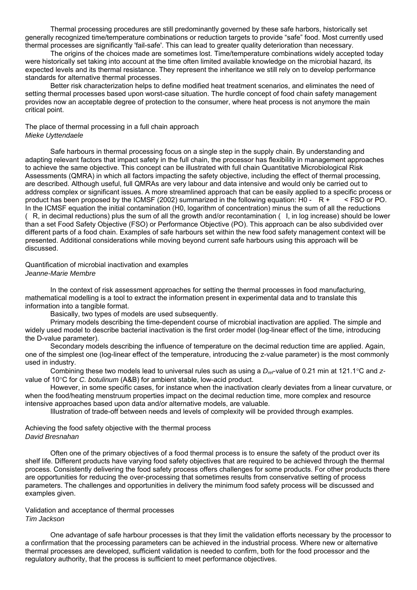Thermal processing procedures are still predominantly governed by these safe harbors, historically set generally recognized time/temperature combinations or reduction targets to provide "safe" food. Most currently used thermal processes are significantly 'fail-safe'. This can lead to greater quality deterioration than necessary.

 The origins of the choices made are sometimes lost. Time/temperature combinations widely accepted today were historically set taking into account at the time often limited available knowledge on the microbial hazard, its expected levels and its thermal resistance. They represent the inheritance we still rely on to develop performance standards for alternative thermal processes.

 Better risk characterization helps to define modified heat treatment scenarios, and eliminates the need of setting thermal processes based upon worst-case situation. The hurdle concept of food chain safety management provides now an acceptable degree of protection to the consumer, where heat process is not anymore the main critical point.

The place of thermal processing in a full chain approach *Mieke Uyttendaele* 

 Safe harbours in thermal processing focus on a single step in the supply chain. By understanding and adapting relevant factors that impact safety in the full chain, the processor has flexibility in management approaches to achieve the same objective. This concept can be illustrated with full chain Quantitative Microbiological Risk Assessments (QMRA) in which all factors impacting the safety objective, including the effect of thermal processing, are described. Although useful, full QMRAs are very labour and data intensive and would only be carried out to address complex or significant issues. A more streamlined approach that can be easily applied to a specific process or product has been proposed by the ICMSF (2002) summarized in the following equation: H0 - R +  $\leq$  FSO or PO. In the ICMSF equation the initial contamination (H0, logarithm of concentration) minus the sum of all the reductions (R, in decimal reductions) plus the sum of all the growth and/or recontamination (I, in log increase) should be lower than a set Food Safety Objective (FSO) or Performance Objective (PO). This approach can be also subdivided over different parts of a food chain. Examples of safe harbours set within the new food safety management context will be presented. Additional considerations while moving beyond current safe harbours using this approach will be discussed.

#### Quantification of microbial inactivation and examples *Jeanne-Marie Membre*

 In the context of risk assessment approaches for setting the thermal processes in food manufacturing, mathematical modelling is a tool to extract the information present in experimental data and to translate this information into a tangible format.

Basically, two types of models are used subsequently.

 Primary models describing the time-dependent course of microbial inactivation are applied. The simple and widely used model to describe bacterial inactivation is the first order model (log-linear effect of the time, introducing the D-value parameter).

 Secondary models describing the influence of temperature on the decimal reduction time are applied. Again, one of the simplest one (log-linear effect of the temperature, introducing the z-value parameter) is the most commonly used in industry.

Combining these two models lead to universal rules such as using a D<sub>ref</sub>-value of 0.21 min at 121.1°C and zvalue of 10°C for *C. botulinum* (A&B) for ambient stable, low-acid product.

 However, in some specific cases, for instance when the inactivation clearly deviates from a linear curvature, or when the food/heating menstruum properties impact on the decimal reduction time, more complex and resource intensive approaches based upon data and/or alternative models, are valuable.

Illustration of trade-off between needs and levels of complexity will be provided through examples.

Achieving the food safety objective with the thermal process *David Bresnahan* 

 Often one of the primary objectives of a food thermal process is to ensure the safety of the product over its shelf life. Different products have varying food safety objectives that are required to be achieved through the thermal process. Consistently delivering the food safety process offers challenges for some products. For other products there are opportunities for reducing the over-processing that sometimes results from conservative setting of process parameters. The challenges and opportunities in delivery the minimum food safety process will be discussed and examples given.

#### Validation and acceptance of thermal processes *Tim Jackson*

 One advantage of safe harbour processes is that they limit the validation efforts necessary by the processor to a confirmation that the processing parameters can be achieved in the industrial process. Where new or alternative thermal processes are developed, sufficient validation is needed to confirm, both for the food processor and the regulatory authority, that the process is sufficient to meet performance objectives.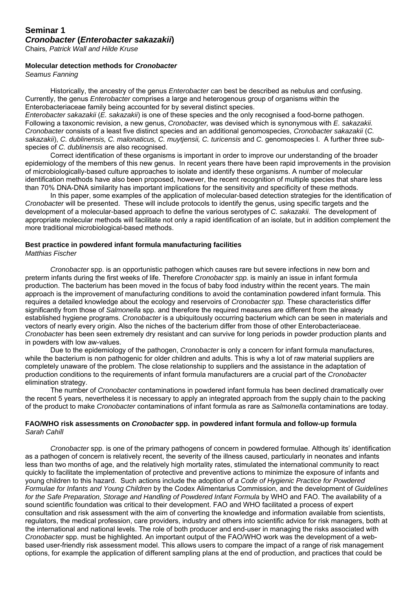#### **Seminar 1** *Cronobacter* **(***Enterobacter sakazakii***)**

Chairs*, Patrick Wall and Hilde Kruse* 

#### **Molecular detection methods for** *Cronobacter*

*Seamus Fanning* 

 Historically, the ancestry of the genus *Enterobacter* can best be described as nebulus and confusing. Currently, the genus *Enterobacter* comprises a large and heterogenous group of organisms within the Enterobacteriaceae family being accounted for by several distinct species.

*Enterobacter sakazakii* (*E. sakazakii*) is one of these species and the only recognised a food-borne pathogen. Following a taxonomic revision, a new genus, *Cronobacter,* was devised which is synonymous with *E. sakazakii. Cronobacter* consists of a least five distinct species and an additional genomospecies, *Cronobacter sakazakii* (*C.*  sakazakii), *C. dublinensis, C. malonaticus, C. muytjensii, C. turicensis and <i>C.* genomospecies I. A further three subspecies of *C. dublinensis* are also recognised.

 Correct identification of these organisms is important in order to improve our understanding of the broader epidemiology of the members of this new genus. In recent years there have been rapid improvements in the provision of microbiologically-based culture approaches to isolate and identify these organisms. A number of molecular identification methods have also been proposed, however, the recent recognition of multiple species that share less than 70% DNA-DNA similarity has important implications for the sensitivity and specificity of these methods.

 In this paper, some examples of the application of molecular-based detection strategies for the identification of *Cronobacter* will be presented. These will include protocols to identify the genus, using specific targets and the development of a molecular-based approach to define the various serotypes of *C. sakazakii.* The development of appropriate molecular methods will facilitate not only a rapid identification of an isolate, but in addition complement the more traditional microbiological-based methods.

#### **Best practice in powdered infant formula manufacturing facilities**

*Matthias Fischer* 

 *Cronobacter* spp. is an opportunistic pathogen which causes rare but severe infections in new born and preterm infants during the first weeks of life. Therefore *Cronobacter spp.* is mainly an issue in infant formula production. The bacterium has been moved in the focus of baby food industry within the recent years. The main approach is the improvement of manufacturing conditions to avoid the contamination powdered infant formula. This requires a detailed knowledge about the ecology and reservoirs of *Cronobacter spp.* These characteristics differ significantly from those of *Salmonella* spp. and therefore the required measures are different from the already established hygiene programs. *Cronobacter* is a ubiquitously occurring bacterium which can be seen in materials and vectors of nearly every origin. Also the niches of the bacterium differ from those of other Enterobacteriaceae. *Cronobacter* has been seen extremely dry resistant and can survive for long periods in powder production plants and in powders with low aw-values.

 Due to the epidemiology of the pathogen, *Cronobacter* is only a concern for infant formula manufactures, while the bacterium is non pathogenic for older children and adults. This is why a lot of raw material suppliers are completely unaware of the problem. The close relationship to suppliers and the assistance in the adaptation of production conditions to the requirements of infant formula manufacturers are a crucial part of the *Cronobacter* elimination strategy.

 The number of *Cronobacter* contaminations in powdered infant formula has been declined dramatically over the recent 5 years, nevertheless it is necessary to apply an integrated approach from the supply chain to the packing of the product to make *Cronobacter* contaminations of infant formula as rare as *Salmonella* contaminations are today.

#### **FAO/WHO risk assessments on** *Cronobacter* **spp. in powdered infant formula and follow-up formula**  *Sarah Cahill*

 *Cronobacter* spp. is one of the primary pathogens of concern in powdered formulae. Although its' identification as a pathogen of concern is relatively recent, the severity of the illness caused, particularly in neonates and infants less than two months of age, and the relatively high mortality rates, stimulated the international community to react quickly to facilitate the implementation of protective and preventive actions to minimize the exposure of infants and young children to this hazard. Such actions include the adoption of *a Code of Hygienic Practice for Powdered Formulae for Infants and Young Children* by the Codex Alimentarius Commission, and the development of *Guidelines*  for the Safe Preparation, Storage and Handling of Powdered Infant Formula by WHO and FAO. The availability of a sound scientific foundation was critical to their development. FAO and WHO facilitated a process of expert consultation and risk assessment with the aim of converting the knowledge and information available from scientists, regulators, the medical profession, care providers, industry and others into scientific advice for risk managers, both at the international and national levels. The role of both producer and end-user in managing the risks associated with *Cronobacter* spp. must be highlighted. An important output of the FAO/WHO work was the development of a webbased user-friendly risk assessment model. This allows users to compare the impact of a range of risk management options, for example the application of different sampling plans at the end of production, and practices that could be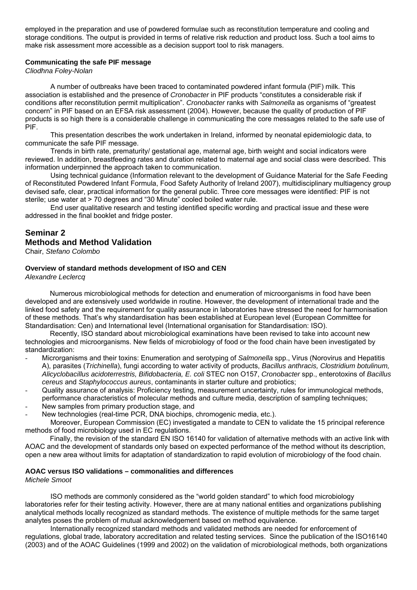employed in the preparation and use of powdered formulae such as reconstitution temperature and cooling and storage conditions. The output is provided in terms of relative risk reduction and product loss. Such a tool aims to make risk assessment more accessible as a decision support tool to risk managers.

#### **Communicating the safe PIF message**

*Cliodhna Foley-Nolan*

 A number of outbreaks have been traced to contaminated powdered infant formula (PIF) milk. This association is established and the presence of *Cronobacter* in PIF products "constitutes a considerable risk if conditions after reconstitution permit multiplication". *Cronobacter* ranks with *Salmonella* as organisms of "greatest concern" in PIF based on an EFSA risk assessment (2004). However, because the quality of production of PIF products is so high there is a considerable challenge in communicating the core messages related to the safe use of PIF.

 This presentation describes the work undertaken in Ireland, informed by neonatal epidemiologic data, to communicate the safe PIF message.

 Trends in birth rate, prematurity/ gestational age, maternal age, birth weight and social indicators were reviewed. In addition, breastfeeding rates and duration related to maternal age and social class were described. This information underpinned the approach taken to communication.

 Using technical guidance (Information relevant to the development of Guidance Material for the Safe Feeding of Reconstituted Powdered Infant Formula, Food Safety Authority of Ireland 2007), multidisciplinary multiagency group devised safe, clear, practical information for the general public. Three core messages were identified: PIF is not sterile; use water at > 70 degrees and "30 Minute" cooled boiled water rule.

 End user qualitative research and testing identified specific wording and practical issue and these were addressed in the final booklet and fridge poster.

## **Seminar 2 Methods and Method Validation**

Chair, *Stefano Colombo*

#### **Overview of standard methods development of ISO and CEN**

*Alexandre Leclercq* 

Numerous microbiological methods for detection and enumeration of microorganisms in food have been developed and are extensively used worldwide in routine. However, the development of international trade and the linked food safety and the requirement for quality assurance in laboratories have stressed the need for harmonisation of these methods. That's why standardisation has been established at European level (European Committee for Standardisation: Cen) and International level (International organisation for Standardisation: ISO).

Recently, ISO standard about microbiological examinations have been revised to take into account new technologies and microorganisms. New fields of microbiology of food or the food chain have been investigated by standardization:

- Microrganisms and their toxins: Enumeration and serotyping of *Salmonella* spp., Virus (Norovirus and Hepatitis A), parasites (*Trichinella*), fungi according to water activity of products, *Bacillus anthracis, Clostridium botulinum, Alicyclobacillus acidoterrestris, Bifidobacteria, E. coli* STEC non O157, *Cronobacter* spp., enterotoxins of *Bacillus cereus* and *Staphylococcus aureus*, contaminants in starter culture and probiotics;
- Quality assurance of analysis: Proficiency testing, measurement uncertainty, rules for immunological methods, performance characteristics of molecular methods and culture media, description of sampling techniques; New samples from primary production stage, and
- 
- New technologies (real-time PCR, DNA biochips, chromogenic media, etc.). Moreover, European Commission (EC) investigated a mandate to CEN to validate the 15 principal reference methods of food microbiology used in EC regulations.

Finally, the revision of the standard EN ISO 16140 for validation of alternative methods with an active link with AOAC and the development of standards only based on expected performance of the method without its description, open a new area without limits for adaptation of standardization to rapid evolution of microbiology of the food chain.

#### **AOAC versus ISO validations – commonalities and differences**

*Michele Smoot* 

ISO methods are commonly considered as the "world golden standard" to which food microbiology laboratories refer for their testing activity. However, there are at many national entities and organizations publishing analytical methods locally recognized as standard methods. The existence of multiple methods for the same target analytes poses the problem of mutual acknowledgement based on method equivalence.

 Internationally recognized standard methods and validated methods are needed for enforcement of regulations, global trade, laboratory accreditation and related testing services. Since the publication of the ISO16140 (2003) and of the AOAC Guidelines (1999 and 2002) on the validation of microbiological methods, both organizations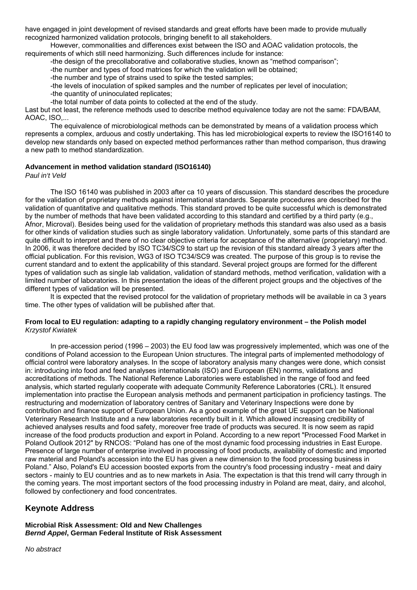have engaged in joint development of revised standards and great efforts have been made to provide mutually recognized harmonized validation protocols, bringing benefit to all stakeholders.

 However, commonalities and differences exist between the ISO and AOAC validation protocols, the requirements of which still need harmonizing. Such differences include for instance:

-the design of the precollaborative and collaborative studies, known as "method comparison";

-the number and types of food matrices for which the validation will be obtained;

-the number and type of strains used to spike the tested samples;

-the levels of inoculation of spiked samples and the number of replicates per level of inoculation;

-the quantity of uninoculated replicates;

-the total number of data points to collected at the end of the study.

Last but not least, the reference methods used to describe method equivalence today are not the same: FDA/BAM, AOAC, ISO,...

 The equivalence of microbiological methods can be demonstrated by means of a validation process which represents a complex, arduous and costly undertaking. This has led microbiological experts to review the ISO16140 to develop new standards only based on expected method performances rather than method comparison, thus drawing a new path to method standardization.

#### **Advancement in method validation standard (ISO16140)**

*Paul in't Veld* 

 The ISO 16140 was published in 2003 after ca 10 years of discussion. This standard describes the procedure for the validation of proprietary methods against international standards. Separate procedures are described for the validation of quantitative and qualitative methods. This standard proved to be quite successful which is demonstrated by the number of methods that have been validated according to this standard and certified by a third party (e.g., Afnor, Microval). Besides being used for the validation of proprietary methods this standard was also used as a basis for other kinds of validation studies such as single laboratory validation. Unfortunately, some parts of this standard are quite difficult to interpret and there of no clear objective criteria for acceptance of the alternative (proprietary) method. In 2006, it was therefore decided by ISO TC34/SC9 to start up the revision of this standard already 3 years after the official publication. For this revision, WG3 of ISO TC34/SC9 was created. The purpose of this group is to revise the current standard and to extent the applicability of this standard. Several project groups are formed for the different types of validation such as single lab validation, validation of standard methods, method verification, validation with a limited number of laboratories. In this presentation the ideas of the different project groups and the objectives of the different types of validation will be presented.

 It is expected that the revised protocol for the validation of proprietary methods will be available in ca 3 years time. The other types of validation will be published after that.

#### **From local to EU regulation: adapting to a rapidly changing regulatory environment – the Polish model**  *Krzystof Kwiatek*

 In pre-accession period (1996 – 2003) the EU food law was progressively implemented, which was one of the conditions of Poland accession to the European Union structures. The integral parts of implemented methodology of official control were laboratory analyses. In the scope of laboratory analysis many changes were done, which consist in: introducing into food and feed analyses internationals (ISO) and European (EN) norms, validations and accreditations of methods. The National Reference Laboratories were established in the range of food and feed analysis, which started regularly cooperate with adequate Community Reference Laboratories (CRL). It ensured implementation into practise the European analysis methods and permanent participation in proficiency tastings. The restructuring and modernization of laboratory centres of Sanitary and Veterinary Inspections were done by contribution and finance support of European Union. As a good example of the great UE support can be National Veterinary Research Institute and a new laboratories recently built in it. Which allowed increasing credibility of achieved analyses results and food safety, moreover free trade of products was secured. It is now seem as rapid increase of the food products production and export in Poland. According to a new report "Processed Food Market in Poland Outlook 2012" by RNCOS: "Poland has one of the most dynamic food processing industries in East Europe. Presence of large number of enterprise involved in processing of food products, availability of domestic and imported raw material and Poland's accession into the EU has given a new dimension to the food processing business in Poland." Also, Poland's EU accession boosted exports from the country's food processing industry - meat and dairy sectors - mainly to EU countries and as to new markets in Asia. The expectation is that this trend will carry through in the coming years. The most important sectors of the food processing industry in Poland are meat, dairy, and alcohol, followed by confectionery and food concentrates.

## **Keynote Address**

**Microbial Risk Assessment: Old and New Challenges**  *Bernd Appel***, German Federal Institute of Risk Assessment** 

*No abstract*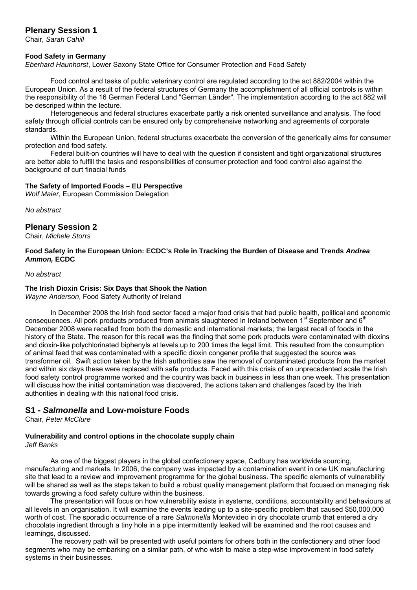## **Plenary Session 1**

Chair, *Sarah Cahill* 

#### **Food Safety in Germany**

*Eberhard Haunhorst*, Lower Saxony State Office for Consumer Protection and Food Safety

 Food control and tasks of public veterinary control are regulated according to the act 882/2004 within the European Union. As a result of the federal structures of Germany the accomplishment of all official controls is within the responsibility of the 16 German Federal Land "German Länder". The implementation according to the act 882 will be descriped within the lecture.

 Heterogeneous and federal structures exacerbate partly a risk oriented surveillance and analysis. The food safety through official controls can be ensured only by comprehensive networking and agreements of corporate standards.

 Within the European Union, federal structures exacerbate the conversion of the generically aims for consumer protection and food safety.

 Federal built-on countries will have to deal with the question if consistent and tight organizational structures are better able to fulfill the tasks and responsibilities of consumer protection and food control also against the background of curt finacial funds

#### **The Safety of Imported Foods – EU Perspective**

*Wolf Maier*, European Commission Delegation

*No abstract* 

## **Plenary Session 2**

Chair, *Michele Storrs*

#### **Food Safety in the European Union: ECDC's Role in Tracking the Burden of Disease and Trends** *Andrea Ammon,* **ECDC**

#### *No abstract*

## **The Irish Dioxin Crisis: Six Days that Shook the Nation**

*Wayne Anderson*, Food Safety Authority of Ireland

 In December 2008 the Irish food sector faced a major food crisis that had public health, political and economic consequences. All pork products produced from animals slaughtered In Ireland between 1<sup>st</sup> September and 6<sup>th</sup> December 2008 were recalled from both the domestic and international markets; the largest recall of foods in the history of the State. The reason for this recall was the finding that some pork products were contaminated with dioxins and dioxin-like polychlorinated biphenyls at levels up to 200 times the legal limit. This resulted from the consumption of animal feed that was contaminated with a specific dioxin congener profile that suggested the source was transformer oil. Swift action taken by the Irish authorities saw the removal of contaminated products from the market and within six days these were replaced with safe products. Faced with this crisis of an unprecedented scale the Irish food safety control programme worked and the country was back in business in less than one week. This presentation will discuss how the initial contamination was discovered, the actions taken and challenges faced by the Irish authorities in dealing with this national food crisis.

## **S1 -** *Salmonella* **and Low-moisture Foods**

Chair, *Peter McClure*

#### **Vulnerability and control options in the chocolate supply chain**  *Jeff Banks*

 As one of the biggest players in the global confectionery space, Cadbury has worldwide sourcing, manufacturing and markets. In 2006, the company was impacted by a contamination event in one UK manufacturing site that lead to a review and improvement programme for the global business. The specific elements of vulnerability will be shared as well as the steps taken to build a robust quality management platform that focused on managing risk towards growing a food safety culture within the business.

 The presentation will focus on how vulnerability exists in systems, conditions, accountability and behaviours at all levels in an organisation. It will examine the events leading up to a site-specific problem that caused \$50,000,000 worth of cost. The sporadic occurrence of a rare *Salmonella* Montevideo in dry chocolate crumb that entered a dry chocolate ingredient through a tiny hole in a pipe intermittently leaked will be examined and the root causes and learnings, discussed.

 The recovery path will be presented with useful pointers for others both in the confectionery and other food segments who may be embarking on a similar path, of who wish to make a step-wise improvement in food safety systems in their businesses.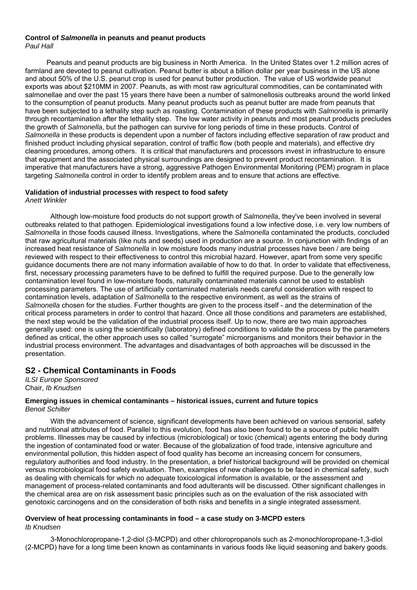#### **Control of** *Salmonella* **in peanuts and peanut products**  *Paul Hall*

 Peanuts and peanut products are big business in North America. In the United States over 1.2 million acres of farmland are devoted to peanut cultivation. Peanut butter is about a billion dollar per year business in the US alone and about 50% of the U.S. peanut crop is used for peanut butter production. The value of US worldwide peanut exports was about \$210MM in 2007. Peanuts, as with most raw agricultural commodities, can be contaminated with salmonellae and over the past 15 years there have been a number of salmonellosis outbreaks around the world linked to the consumption of peanut products. Many peanut products such as peanut butter are made from peanuts that have been subjected to a lethality step such as roasting. Contamination of these products with *Salmonella* is primarily through recontamination after the lethality step. The low water activity in peanuts and most peanut products precludes the growth of *Salmonella*, but the pathogen can survive for long periods of time in these products. Control of *Salmonella* in these products is dependent upon a number of factors including effective separation of raw product and finished product including physical separation, control of traffic flow (both people and materials), and effective dry cleaning procedures, among others. It is critical that manufacturers and processors invest in infrastructure to ensure that equipment and the associated physical surroundings are designed to prevent product recontamination. It is imperative that manufacturers have a strong, aggressive Pathogen Environmental Monitoring (PEM) program in place targeting *Salmonella* control in order to identify problem areas and to ensure that actions are effective.

#### **Validation of industrial processes with respect to food safety**  *Anett Winkler*

 Although low-moisture food products do not support growth of *Salmonella*, they've been involved in several outbreaks related to that pathogen. Epidemiological investigations found a low infective dose, i.e. very low numbers of *Salmonella* in those foods caused illness. Investigations, where the *Salmonella* contaminated the products, concluded that raw agricultural materials (like nuts and seeds) used in production are a source. In conjunction with findings of an increased heat resistance of *Salmonella* in low moisture foods many industrial processes have been / are being reviewed with respect to their effectiveness to control this microbial hazard. However, apart from some very specific guidance documents there are not many information available of how to do that. In order to validate that effectiveness, first, necessary processing parameters have to be defined to fulfill the required purpose. Due to the generally low contamination level found in low-moisture foods, naturally contaminated materials cannot be used to establish processing parameters. The use of artificially contaminated materials needs careful consideration with respect to contamination levels, adaptation of *Salmonella* to the respective environment, as well as the strains of *Salmonella* chosen for the studies. Further thoughts are given to the process itself - and the determination of the critical process parameters in order to control that hazard. Once all those conditions and parameters are established, the next step would be the validation of the industrial process itself. Up to now, there are two main approaches generally used: one is using the scientifically (laboratory) defined conditions to validate the process by the parameters defined as critical, the other approach uses so called "surrogate" microorganisms and monitors their behavior in the industrial process environment. The advantages and disadvantages of both approaches will be discussed in the presentation.

## **S2 - Chemical Contaminants in Foods**

*ILSI Europe Sponsored* Chair, *Ib Knudsen*

#### **Emerging issues in chemical contaminants – historical issues, current and future topics**  *Benoit Schilter*

 With the advancement of science, significant developments have been achieved on various sensorial, safety and nutritional attributes of food. Parallel to this evolution, food has also been found to be a source of public health problems. Illnesses may be caused by infectious (microbiological) or toxic (chemical) agents entering the body during the ingestion of contaminated food or water. Because of the globalization of food trade, intensive agriculture and environmental pollution, this hidden aspect of food quality has become an increasing concern for consumers, regulatory authorities and food industry. In the presentation, a brief historical background will be provided on chemical versus microbiological food safety evaluation. Then, examples of new challenges to be faced in chemical safety, such as dealing with chemicals for which no adequate toxicological information is available, or the assessment and management of process-related contaminants and food adulterants will be discussed. Other significant challenges in the chemical area are on risk assessment basic principles such as on the evaluation of the risk associated with genotoxic carcinogens and on the consideration of both risks and benefits in a single integrated assessment.

#### **Overview of heat processing contaminants in food – a case study on 3-MCPD esters**  *Ib Knudsen*

 3-Monochloropropane-1,2-diol (3-MCPD) and other chloropropanols such as 2-monochloropropane-1,3-diol (2-MCPD) have for a long time been known as contaminants in various foods like liquid seasoning and bakery goods.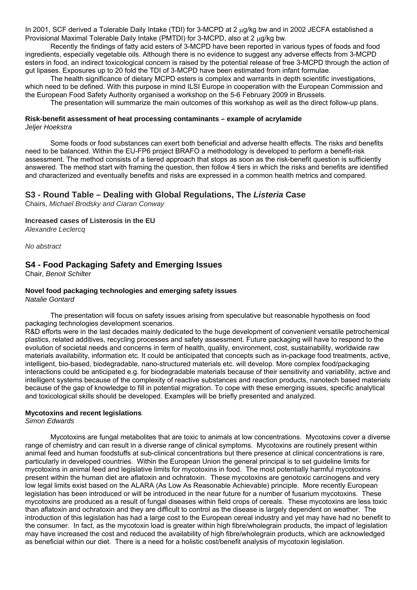In 2001, SCF derived a Tolerable Daily Intake (TDI) for 3-MCPD at 2 ug/kg bw and in 2002 JECFA established a Provisional Maximal Tolerable Daily Intake (PMTDI) for 3-MCPD, also at 2  $\mu$ g/kg bw.

 Recently the findings of fatty acid esters of 3-MCPD have been reported in various types of foods and food ingredients, especially vegetable oils. Although there is no evidence to suggest any adverse effects from 3-MCPD esters in food, an indirect toxicological concern is raised by the potential release of free 3-MCPD through the action of gut lipases. Exposures up to 20 fold the TDI of 3-MCPD have been estimated from infant formulae.

 The health significance of dietary MCPD esters is complex and warrants in depth scientific investigations, which need to be defined. With this purpose in mind ILSI Europe in cooperation with the European Commission and the European Food Safety Authority organised a workshop on the 5-6 February 2009 in Brussels.

The presentation will summarize the main outcomes of this workshop as well as the direct follow-up plans.

#### **Risk-benefit assessment of heat processing contaminants – example of acrylamide**  *Jeljer Hoekstra*

 Some foods or food substances can exert both beneficial and adverse health effects. The risks and benefits need to be balanced. Within the EU-FP6 project BRAFO a methodology is developed to perform a benefit-risk assessment. The method consists of a tiered approach that stops as soon as the risk-benefit question is sufficiently answered. The method start with framing the question, then follow 4 tiers in which the risks and benefits are identified and characterized and eventually benefits and risks are expressed in a common health metrics and compared.

## **S3 - Round Table – Dealing with Global Regulations, The** *Listeria* **Case**

Chairs, *Michael Brodsky and Ciaran Conway*

#### **Increased cases of Listerosis in the EU**

*Alexandre Leclercq* 

*No abstract*

## **S4 - Food Packaging Safety and Emerging Issues**

Chair, *Benoit Schilter*

## **Novel food packaging technologies and emerging safety issues**

*Natalie Gontard* 

 The presentation will focus on safety issues arising from speculative but reasonable hypothesis on food packaging technologies development scenarios.

R&D efforts were in the last decades mainly dedicated to the huge development of convenient versatile petrochemical plastics, related additives, recycling processes and safety assessment. Future packaging will have to respond to the evolution of societal needs and concerns in term of health, quality, environment, cost, sustainability, worldwide raw materials availability, information etc. It could be anticipated that concepts such as in-package food treatments, active, intelligent, bio-based, biodegradable, nano-structured materials etc. will develop. More complex food/packaging interactions could be anticipated e.g. for biodegradable materials because of their sensitivity and variability, active and intelligent systems because of the complexity of reactive substances and reaction products, nanotech based materials because of the gap of knowledge to fill in potential migration. To cope with these emerging issues, specific analytical and toxicological skills should be developed. Examples will be briefly presented and analyzed.

#### **Mycotoxins and recent legislations**

*Simon Edwards* 

 Mycotoxins are fungal metabolites that are toxic to animals at low concentrations. Mycotoxins cover a diverse range of chemistry and can result in a diverse range of clinical symptoms. Mycotoxins are routinely present within animal feed and human foodstuffs at sub-clinical concentrations but there presence at clinical concentrations is rare, particularly in developed countries. Within the European Union the general principal is to set guideline limits for mycotoxins in animal feed and legislative limits for mycotoxins in food. The most potentially harmful mycotoxins present within the human diet are aflatoxin and ochratoxin. These mycotoxins are genotoxic carcinogens and very low legal limits exist based on the ALARA (As Low As Reasonable Achievable) principle. More recently European legislation has been introduced or will be introduced in the near future for a number of fusarium mycotoxins. These mycotoxins are produced as a result of fungal diseases within field crops of cereals. These mycotoxins are less toxic than aflatoxin and ochratoxin and they are difficult to control as the disease is largely dependent on weather. The introduction of this legislation has had a large cost to the European cereal industry and yet may have had no benefit to the consumer. In fact, as the mycotoxin load is greater within high fibre/wholegrain products, the impact of legislation may have increased the cost and reduced the availability of high fibre/wholegrain products, which are acknowledged as beneficial within our diet. There is a need for a holistic cost/benefit analysis of mycotoxin legislation.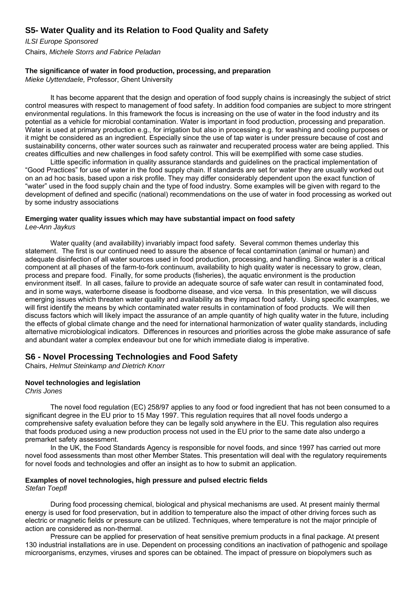## **S5- Water Quality and its Relation to Food Quality and Safety**

*ILSI Europe Sponsored*  Chairs, *Michele Storrs and Fabrice Peladan*

#### **The significance of water in food production, processing, and preparation**

*Mieke Uyttendaele,* Professor, Ghent University

 It has become apparent that the design and operation of food supply chains is increasingly the subject of strict control measures with respect to management of food safety. In addition food companies are subject to more stringent environmental regulations. In this framework the focus is increasing on the use of water in the food industry and its potential as a vehicle for microbial contamination. Water is important in food production, processing and preparation. Water is used at primary production e.g., for irrigation but also in processing e.g. for washing and cooling purposes or it might be considered as an ingredient. Especially since the use of tap water is under pressure because of cost and sustainability concerns, other water sources such as rainwater and recuperated process water are being applied. This creates difficulties and new challenges in food safety control. This will be exemplified with some case studies.

 Little specific information in quality assurance standards and guidelines on the practical implementation of "Good Practices" for use of water in the food supply chain. If standards are set for water they are usually worked out on an ad hoc basis, based upon a risk profile. They may differ considerably dependent upon the exact function of "water" used in the food supply chain and the type of food industry. Some examples will be given with regard to the development of defined and specific (national) recommendations on the use of water in food processing as worked out by some industry associations

#### **Emerging water quality issues which may have substantial impact on food safety**  *Lee-Ann Jaykus*

Water quality (and availability) invariably impact food safety. Several common themes underlay this statement. The first is our continued need to assure the absence of fecal contamination (animal or human) and adequate disinfection of all water sources used in food production, processing, and handling. Since water is a critical component at all phases of the farm-to-fork continuum, availability to high quality water is necessary to grow, clean, process and prepare food. Finally, for some products (fisheries), the aquatic environment is the production environment itself. In all cases, failure to provide an adequate source of safe water can result in contaminated food, and in some ways, waterborne disease is foodborne disease, and vice versa. In this presentation, we will discuss emerging issues which threaten water quality and availability as they impact food safety. Using specific examples, we will first identify the means by which contaminated water results in contamination of food products. We will then discuss factors which will likely impact the assurance of an ample quantity of high quality water in the future, including the effects of global climate change and the need for international harmonization of water quality standards, including alternative microbiological indicators. Differences in resources and priorities across the globe make assurance of safe and abundant water a complex endeavour but one for which immediate dialog is imperative.

## **S6 - Novel Processing Technologies and Food Safety**

Chairs, *Helmut Steinkamp and Dietrich Knorr*

#### **Novel technologies and legislation**

*Chris Jones* 

 The novel food regulation (EC) 258/97 applies to any food or food ingredient that has not been consumed to a significant degree in the EU prior to 15 May 1997. This regulation requires that all novel foods undergo a comprehensive safety evaluation before they can be legally sold anywhere in the EU. This regulation also requires that foods produced using a new production process not used in the EU prior to the same date also undergo a premarket safety assessment.

 In the UK, the Food Standards Agency is responsible for novel foods, and since 1997 has carried out more novel food assessments than most other Member States. This presentation will deal with the regulatory requirements for novel foods and technologies and offer an insight as to how to submit an application.

# **Examples of novel technologies, high pressure and pulsed electric fields**

*Stefan Toepfl* 

 During food processing chemical, biological and physical mechanisms are used. At present mainly thermal energy is used for food preservation, but in addition to temperature also the impact of other driving forces such as electric or magnetic fields or pressure can be utilized. Techniques, where temperature is not the major principle of action are considered as non-thermal.

 Pressure can be applied for preservation of heat sensitive premium products in a final package. At present 130 industrial installations are in use. Dependent on processing conditions an inactivation of pathogenic and spoilage microorganisms, enzymes, viruses and spores can be obtained. The impact of pressure on biopolymers such as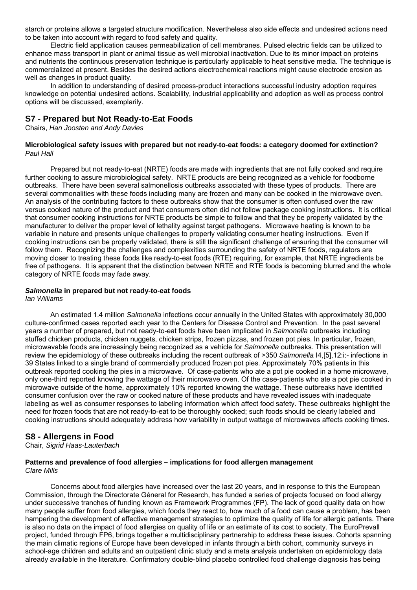starch or proteins allows a targeted structure modification. Nevertheless also side effects and undesired actions need to be taken into account with regard to food safety and quality.

 Electric field application causes permeabilization of cell membranes. Pulsed electric fields can be utilized to enhance mass transport in plant or animal tissue as well microbial inactivation. Due to its minor impact on proteins and nutrients the continuous preservation technique is particularly applicable to heat sensitive media. The technique is commercialized at present. Besides the desired actions electrochemical reactions might cause electrode erosion as well as changes in product quality.

 In addition to understanding of desired process-product interactions successful industry adoption requires knowledge on potential undesired actions. Scalability, industrial applicability and adoption as well as process control options will be discussed, exemplarily.

## **S7 - Prepared but Not Ready-to-Eat Foods**

Chairs, *Han Joosten and Andy Davies*

#### **Microbiological safety issues with prepared but not ready-to-eat foods: a category doomed for extinction?**  *Paul Hall*

 Prepared but not ready-to-eat (NRTE) foods are made with ingredients that are not fully cooked and require further cooking to assure microbiological safety. NRTE products are being recognized as a vehicle for foodborne outbreaks. There have been several salmonellosis outbreaks associated with these types of products. There are several commonalities with these foods including many are frozen and many can be cooked in the microwave oven. An analysis of the contributing factors to these outbreaks show that the consumer is often confused over the raw versus cooked nature of the product and that consumers often did not follow package cooking instructions. It is critical that consumer cooking instructions for NRTE products be simple to follow and that they be properly validated by the manufacturer to deliver the proper level of lethality against target pathogens. Microwave heating is known to be variable in nature and presents unique challenges to properly validating consumer heating instructions. Even if cooking instructions can be properly validated, there is still the significant challenge of ensuring that the consumer will follow them. Recognizing the challenges and complexities surrounding the safety of NRTE foods, regulators are moving closer to treating these foods like ready-to-eat foods (RTE) requiring, for example, that NRTE ingredients be free of pathogens. It is apparent that the distinction between NRTE and RTE foods is becoming blurred and the whole category of NRTE foods may fade away.

## *Salmonella* **in prepared but not ready-to-eat foods**

*Ian Williams* 

 An estimated 1.4 million *Salmonella* infections occur annually in the United States with approximately 30,000 culture-confirmed cases reported each year to the Centers for Disease Control and Prevention. In the past several years a number of prepared, but not ready-to-eat foods have been implicated in *Salmonella* outbreaks including stuffed chicken products, chicken nuggets, chicken strips, frozen pizzas, and frozen pot pies. In particular, frozen, microwavable foods are increasingly being recognized as a vehicle for *Salmonella* outbreaks. This presentation will review the epidemiology of these outbreaks including the recent outbreak of >350 *Salmonella* I4,[5],12:i:- infections in 39 States linked to a single brand of commercially produced frozen pot pies. Approximately 70% patients in this outbreak reported cooking the pies in a microwave. Of case-patients who ate a pot pie cooked in a home microwave, only one-third reported knowing the wattage of their microwave oven. Of the case-patients who ate a pot pie cooked in microwave outside of the home, approximately 10% reported knowing the wattage. These outbreaks have identified consumer confusion over the raw or cooked nature of these products and have revealed issues with inadequate labeling as well as consumer responses to labeling information which affect food safety. These outbreaks highlight the need for frozen foods that are not ready-to-eat to be thoroughly cooked; such foods should be clearly labeled and cooking instructions should adequately address how variability in output wattage of microwaves affects cooking times.

## **S8 - Allergens in Food**

Chair, *Sigrid Haas-Lauterbach*

#### **Patterns and prevalence of food allergies – implications for food allergen management**  *Clare Mills*

 Concerns about food allergies have increased over the last 20 years, and in response to this the European Commission, through the Directorate Géneral for Research, has funded a series of projects focused on food allergy under successive tranches of funding known as Framework Programmes (FP). The lack of good quality data on how many people suffer from food allergies, which foods they react to, how much of a food can cause a problem, has been hampering the development of effective management strategies to optimize the quality of life for allergic patients. There is also no data on the impact of food allergies on quality of life or an estimate of its cost to society. The EuroPrevall project, funded through FP6, brings together a multidisciplinary partnership to address these issues. Cohorts spanning the main climatic regions of Europe have been developed in infants through a birth cohort, community surveys in school-age children and adults and an outpatient clinic study and a meta analysis undertaken on epidemiology data already available in the literature. Confirmatory double-blind placebo controlled food challenge diagnosis has being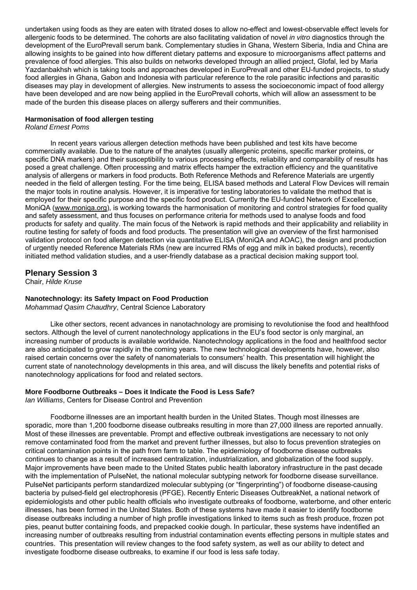undertaken using foods as they are eaten with titrated doses to allow no-effect and lowest-observable effect levels for allergenic foods to be determined. The cohorts are also facilitating validation of novel *in vitro* diagnostics through the development of the EuroPrevall serum bank. Complementary studies in Ghana, Western Siberia, India and China are allowing insights to be gained into how different dietary patterns and exposure to microorganisms affect patterns and prevalence of food allergies. This also builds on networks developed through an allied project, Glofal, led by Maria Yazdanbakhsh which is taking tools and approaches developed in EuroPrevall and other EU-funded projects, to study food allergies in Ghana, Gabon and Indonesia with particular reference to the role parasitic infections and parasitic diseases may play in development of allergies. New instruments to assess the socioeconomic impact of food allergy have been developed and are now being applied in the EuroPrevall cohorts, which will allow an assessment to be made of the burden this disease places on allergy sufferers and their communities.

#### **Harmonisation of food allergen testing**

#### *Roland Ernest Poms*

 In recent years various allergen detection methods have been published and test kits have become commercially available. Due to the nature of the analytes (usually allergenic proteins, specific marker proteins, or specific DNA markers) and their susceptibility to various processing effects, reliability and comparability of results has posed a great challenge. Often processing and matrix effects hamper the extraction efficiency and the quantitative analysis of allergens or markers in food products. Both Reference Methods and Reference Materials are urgently needed in the field of allergen testing. For the time being, ELISA based methods and Lateral Flow Devices will remain the major tools in routine analysis. However, it is imperative for testing laboratories to validate the method that is employed for their specific purpose and the specific food product. Currently the EU-funded Network of Excellence, MoniQA [\(www.moniqa.org\)](http://www.moniqa.org/), is working towards the harmonisation of monitoring and control strategies for food quality and safety assessment, and thus focuses on performance criteria for methods used to analyse foods and food products for safety and quality. The main focus of the Network is rapid methods and their applicability and reliability in routine testing for safety of foods and food products. The presentation will give an overview of the first harmonised validation protocol on food allergen detection via quantitative ELISA (MoniQA and AOAC), the design and production of urgently needed Reference Materials RMs (new are incurred RMs of egg and milk in baked products), recently initiated method validation studies, and a user-friendly database as a practical decision making support tool.

#### **Plenary Session 3**

Chair, *Hilde Kruse*

#### **Nanotechnology: its Safety Impact on Food Production**

*Mohammad Qasim Chaudhry*, Central Science Laboratory

 Like other sectors, recent advances in nanotachnology are promising to revolutionise the food and healthfood sectors. Although the level of current nanotechnology applications in the EU's food sector is only marginal, an increasing number of products is available worldwide. Nanotechnology applications in the food and healthfood sector are also anticipated to grow rapidly in the coming years. The new technological developments have, however, also raised certain concerns over the safety of nanomaterials to consumers' health. This presentation will highlight the current state of nanotechnology developments in this area, and will discuss the likely benefits and potential risks of nanotechnology applications for food and related sectors.

#### **More Foodborne Outbreaks – Does it Indicate the Food is Less Safe?**

*Ian Williams*, Centers for Disease Control and Prevention

 Foodborne illnesses are an important health burden in the United States. Though most illnesses are sporadic, more than 1,200 foodborne disease outbreaks resulting in more than 27,000 illness are reported annually. Most of these illnesses are preventable. Prompt and effective outbreak investigations are necessary to not only remove contaminated food from the market and prevent further illnesses, but also to focus prevention strategies on critical contamination points in the path from farm to table. The epidemiology of foodborne disease outbreaks continues to change as a result of increased centralization, industrialization, and globalization of the food supply. Major improvements have been made to the United States public health laboratory infrastructure in the past decade with the implementation of PulseNet, the national molecular subtyping network for foodborne disease surveillance. PulseNet participants perform standardized molecular subtyping (or "fingerprinting") of foodborne disease-causing bacteria by pulsed-field gel electrophoresis (PFGE). Recently Enteric Diseases OutbreakNet, a national network of epidemiologists and other public health officials who investigate outbreaks of foodborne, waterborne, and other enteric illnesses, has been formed in the United States. Both of these systems have made it easier to identify foodborne disease outbreaks including a number of high profile investigations linked to items such as fresh produce, frozen pot pies, peanut butter containing foods, and prepacked cookie dough. In particular, these systems have indentified an increasing number of outbreaks resulting from industrial contamination events effecting persons in multiple states and countries. This presentation will review changes to the food safety system, as well as our ability to detect and investigate foodborne disease outbreaks, to examine if our food is less safe today.